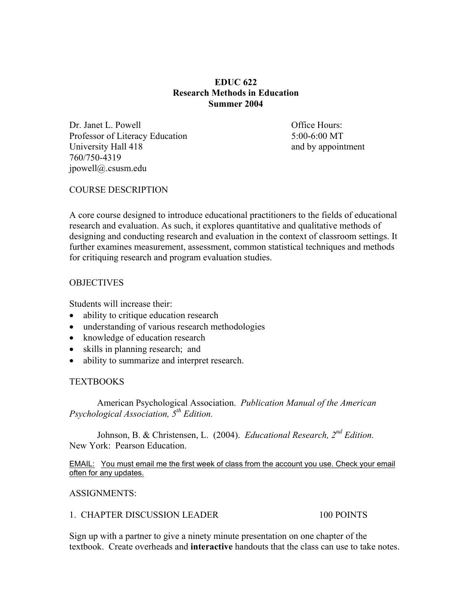# **EDUC 622 Research Methods in Education Summer 2004**

Dr. Janet L. Powell **Dr. Janet L. Powell Office Hours:** Professor of Literacy Education 5:00-6:00 MT University Hall 418 and by appointment 760/750-4319 jpowell@.csusm.edu

# COURSE DESCRIPTION

A core course designed to introduce educational practitioners to the fields of educational research and evaluation. As such, it explores quantitative and qualitative methods of designing and conducting research and evaluation in the context of classroom settings. It further examines measurement, assessment, common statistical techniques and methods for critiquing research and program evaluation studies.

#### **OBJECTIVES**

Students will increase their:

- ability to critique education research
- understanding of various research methodologies
- knowledge of education research
- skills in planning research; and
- ability to summarize and interpret research.

# **TEXTBOOKS**

 American Psychological Association. *Publication Manual of the American Psychological Association, 5th Edition.*

 Johnson, B. & Christensen, L. (2004). *Educational Research, 2nd Edition.*  New York: Pearson Education.

EMAIL: You must email me the first week of class from the account you use. Check your email often for any updates.

ASSIGNMENTS:

# 1. CHAPTER DISCUSSION LEADER 100 POINTS

Sign up with a partner to give a ninety minute presentation on one chapter of the textbook. Create overheads and **interactive** handouts that the class can use to take notes.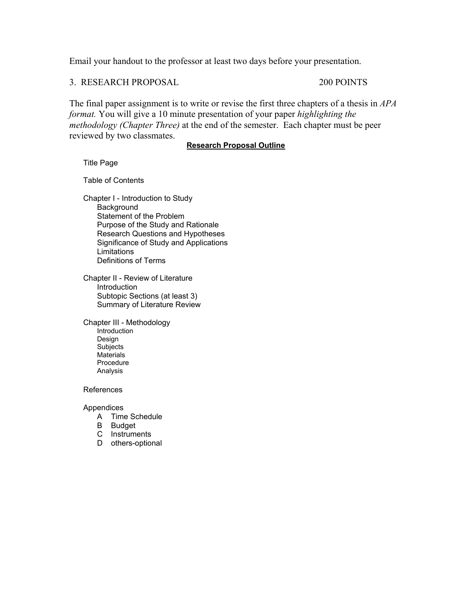Email your handout to the professor at least two days before your presentation.

3. RESEARCH PROPOSAL 200 POINTS

The final paper assignment is to write or revise the first three chapters of a thesis in *APA format.* You will give a 10 minute presentation of your paper *highlighting the methodology (Chapter Three)* at the end of the semester. Each chapter must be peer reviewed by two classmates.

#### **Research Proposal Outline**

Title Page

Table of Contents

Chapter I - Introduction to Study **Background** Statement of the Problem Purpose of the Study and Rationale Research Questions and Hypotheses Significance of Study and Applications **Limitations** Definitions of Terms

Chapter II - Review of Literature **Introduction** Subtopic Sections (at least 3) Summary of Literature Review

Chapter III - Methodology **Introduction**  Design Subjects **Materials**  Procedure Analysis

References

Appendices

- A Time Schedule
- B Budget
- C Instruments
- D others-optional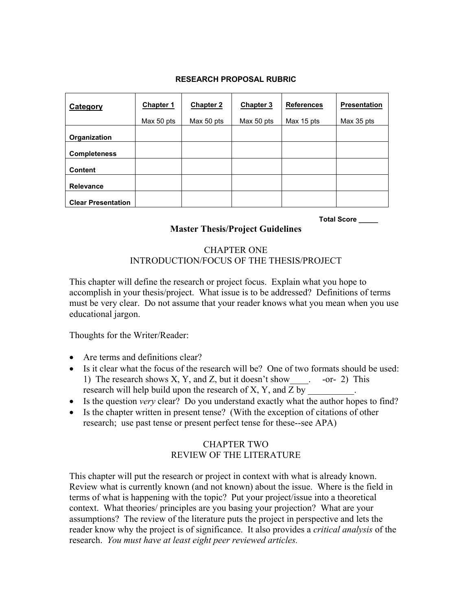#### **RESEARCH PROPOSAL RUBRIC**

| <b>Category</b>           | <b>Chapter 1</b> | <b>Chapter 2</b> | Chapter 3  | <b>References</b> | <b>Presentation</b> |
|---------------------------|------------------|------------------|------------|-------------------|---------------------|
|                           | Max 50 pts       | Max 50 pts       | Max 50 pts | Max 15 pts        | Max 35 pts          |
| Organization              |                  |                  |            |                   |                     |
| <b>Completeness</b>       |                  |                  |            |                   |                     |
| <b>Content</b>            |                  |                  |            |                   |                     |
| <b>Relevance</b>          |                  |                  |            |                   |                     |
| <b>Clear Presentation</b> |                  |                  |            |                   |                     |

**Total Score \_\_\_\_\_** 

# **Master Thesis/Project Guidelines**

# CHAPTER ONE INTRODUCTION/FOCUS OF THE THESIS/PROJECT

This chapter will define the research or project focus. Explain what you hope to accomplish in your thesis/project. What issue is to be addressed? Definitions of terms must be very clear. Do not assume that your reader knows what you mean when you use educational jargon.

Thoughts for the Writer/Reader:

- Are terms and definitions clear?
- Is it clear what the focus of the research will be? One of two formats should be used: 1) The research shows X, Y, and Z, but it doesn't show  $\cdots$  -or- 2) This research will help build upon the research of  $X, Y$ , and  $Z$  by
- Is the question *very* clear? Do you understand exactly what the author hopes to find?
- Is the chapter written in present tense? (With the exception of citations of other research; use past tense or present perfect tense for these--see APA)

# CHAPTER TWO REVIEW OF THE LITERATURE

This chapter will put the research or project in context with what is already known. Review what is currently known (and not known) about the issue. Where is the field in terms of what is happening with the topic? Put your project/issue into a theoretical context. What theories/ principles are you basing your projection? What are your assumptions? The review of the literature puts the project in perspective and lets the reader know why the project is of significance. It also provides a *critical analysis* of the research. *You must have at least eight peer reviewed articles.*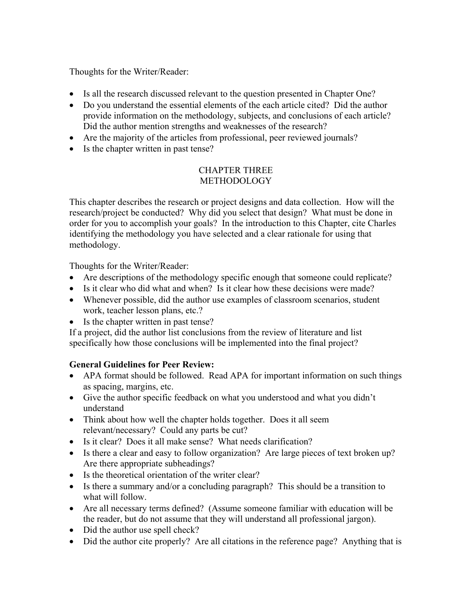Thoughts for the Writer/Reader:

- Is all the research discussed relevant to the question presented in Chapter One?
- Do you understand the essential elements of the each article cited? Did the author provide information on the methodology, subjects, and conclusions of each article? Did the author mention strengths and weaknesses of the research?
- Are the majority of the articles from professional, peer reviewed journals?
- Is the chapter written in past tense?

# CHAPTER THREE **METHODOLOGY**

This chapter describes the research or project designs and data collection. How will the research/project be conducted? Why did you select that design? What must be done in order for you to accomplish your goals? In the introduction to this Chapter, cite Charles identifying the methodology you have selected and a clear rationale for using that methodology.

Thoughts for the Writer/Reader:

- Are descriptions of the methodology specific enough that someone could replicate?
- Is it clear who did what and when? Is it clear how these decisions were made?
- Whenever possible, did the author use examples of classroom scenarios, student work, teacher lesson plans, etc.?
- Is the chapter written in past tense?

If a project, did the author list conclusions from the review of literature and list specifically how those conclusions will be implemented into the final project?

# **General Guidelines for Peer Review:**

- APA format should be followed. Read APA for important information on such things as spacing, margins, etc.
- Give the author specific feedback on what you understood and what you didn't understand
- Think about how well the chapter holds together. Does it all seem relevant/necessary? Could any parts be cut?
- Is it clear? Does it all make sense? What needs clarification?
- Is there a clear and easy to follow organization? Are large pieces of text broken up? Are there appropriate subheadings?
- Is the theoretical orientation of the writer clear?
- Is there a summary and/or a concluding paragraph? This should be a transition to what will follow.
- Are all necessary terms defined? (Assume someone familiar with education will be the reader, but do not assume that they will understand all professional jargon).
- Did the author use spell check?
- Did the author cite properly? Are all citations in the reference page? Anything that is